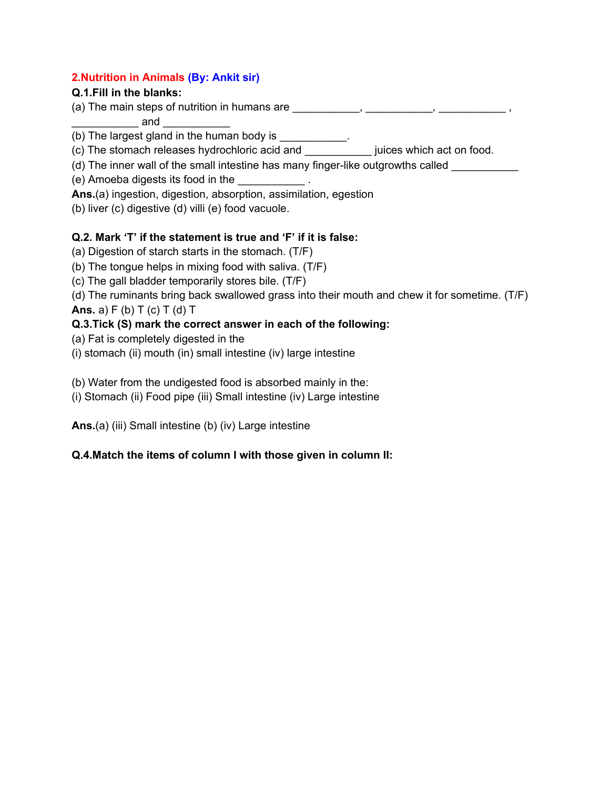#### **2.Nutrition in Animals (By: Ankit sir)**

#### **Q.1.Fill in the blanks:**

(a) The main steps of nutrition in humans are  $\frac{1}{\sqrt{1-\frac{1}{2}}\sqrt{1-\frac{1}{2}}\sqrt{1-\frac{1}{2}}\sqrt{1-\frac{1}{2}}\sqrt{1-\frac{1}{2}}\sqrt{1-\frac{1}{2}}\sqrt{1-\frac{1}{2}}\sqrt{1-\frac{1}{2}}\sqrt{1-\frac{1}{2}}\sqrt{1-\frac{1}{2}}\sqrt{1-\frac{1}{2}}\sqrt{1-\frac{1}{2}}\sqrt{1-\frac{1}{2}}\sqrt{1-\frac{1}{2}}\sqrt{1-\frac{1}{2}}\sqrt{1$ 

 $\Box$  and

(b) The largest gland in the human body is \_\_\_\_\_\_\_\_\_\_.

(c) The stomach releases hydrochloric acid and \_\_\_\_\_\_\_\_\_\_\_ juices which act on food.

(d) The inner wall of the small intestine has many finger-like outgrowths called

(e) Amoeba digests its food in the \_\_\_\_\_\_\_\_\_\_\_ .

**Ans.**(a) ingestion, digestion, absorption, assimilation, egestion

(b) liver (c) digestive (d) villi (e) food vacuole.

### **Q.2. Mark 'T' if the statement is true and 'F' if it is false:**

(a) Digestion of starch starts in the stomach. (T/F)

(b) The tongue helps in mixing food with saliva. (T/F)

(c) The gall bladder temporarily stores bile. (T/F)

(d) The ruminants bring back swallowed grass into their mouth and chew it for sometime. (T/F) **Ans.** a) F (b) T (c) T (d) T

## **Q.3.Tick (S) mark the correct answer in each of the following:**

- (a) Fat is completely digested in the
- (i) stomach (ii) mouth (in) small intestine (iv) large intestine

(b) Water from the undigested food is absorbed mainly in the:

(i) Stomach (ii) Food pipe (iii) Small intestine (iv) Large intestine

**Ans.**(a) (iii) Small intestine (b) (iv) Large intestine

## **Q.4.Match the items of column I with those given in column II:**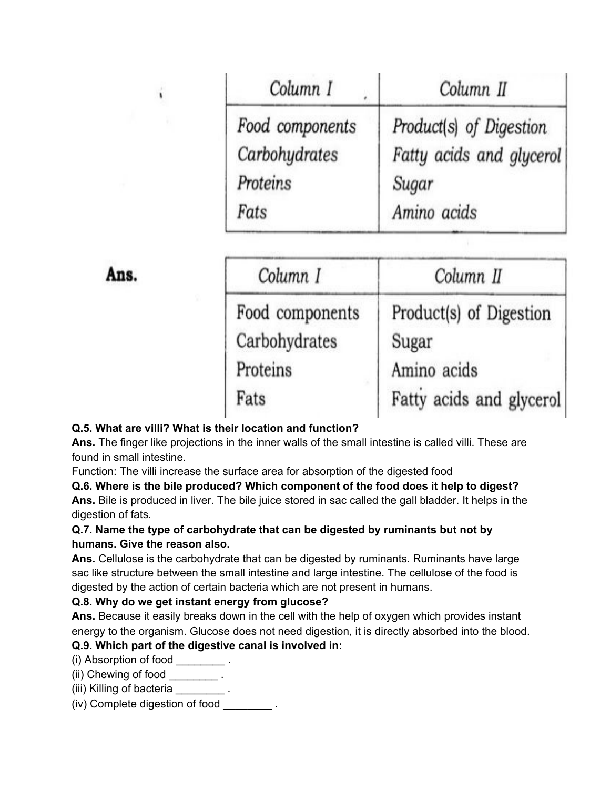| Column I        | Column II                |
|-----------------|--------------------------|
| Food components | Product(s) of Digestion  |
| Carbohydrates   | Fatty acids and glycerol |
| Proteins        | Sugar                    |
| Fats            | Amino acids              |

Ans.

| Column I        | Column II                |
|-----------------|--------------------------|
| Food components | Product(s) of Digestion  |
| Carbohydrates   | Sugar                    |
| Proteins        | Amino acids              |
| Fats            | Fatty acids and glycerol |

#### **Q.5. What are villi? What is their location and function?**

**Ans.** The finger like projections in the inner walls of the small intestine is called villi. These are found in small intestine.

Function: The villi increase the surface area for absorption of the digested food

**Q.6. Where is the bile produced? Which component of the food does it help to digest?**

**Ans.** Bile is produced in liver. The bile juice stored in sac called the gall bladder. It helps in the digestion of fats.

#### **Q.7. Name the type of carbohydrate that can be digested by ruminants but not by humans. Give the reason also.**

**Ans.** Cellulose is the carbohydrate that can be digested by ruminants. Ruminants have large sac like structure between the small intestine and large intestine. The cellulose of the food is digested by the action of certain bacteria which are not present in humans.

#### **Q.8. Why do we get instant energy from glucose?**

**Ans.** Because it easily breaks down in the cell with the help of oxygen which provides instant energy to the organism. Glucose does not need digestion, it is directly absorbed into the blood.

### **Q.9. Which part of the digestive canal is involved in:**

(i) Absorption of food \_\_\_\_\_\_\_\_ .

(ii) Chewing of food  $\qquad \qquad$ .

(iii) Killing of bacteria \_\_\_\_\_\_\_\_\_\_.

(iv) Complete digestion of food \_\_\_\_\_\_\_\_ .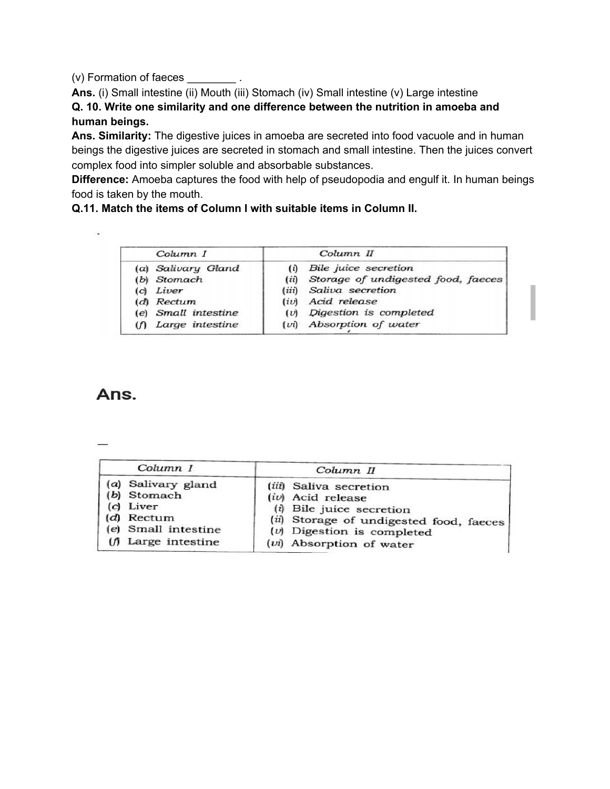(v) Formation of faeces \_\_\_\_\_\_\_\_ .

Ans. (i) Small intestine (ii) Mouth (iii) Stomach (iv) Small intestine (v) Large intestine **Q. 10. Write one similarity and one difference between the nutrition in amoeba and human beings.**

**Ans. Similarity:** The digestive juices in amoeba are secreted into food vacuole and in human beings the digestive juices are secreted in stomach and small intestine. Then the juices convert complex food into simpler soluble and absorbable substances.

**Difference:** Amoeba captures the food with help of pseudopodia and engulf it. In human beings food is taken by the mouth.

**Q.11. Match the items of Column I with suitable items in Column II.**

|     | Column I            |       | Column II                          |  |
|-----|---------------------|-------|------------------------------------|--|
|     | (a) Salivary Gland  | (i)   | Bile <i>juice</i> secretion        |  |
|     | (b) Stomach         | (ii)  | Storage of undigested food, faeces |  |
| (C) | Liver               | (iii) | Saliva secretion                   |  |
|     | (d) Rectum          | (iv)  | Acid release                       |  |
|     | (e) Small intestine |       | $(v)$ Digestion is completed       |  |
|     | Large intestine     |       | (vi) Absorption of water           |  |

# Ans.

 $\epsilon$ 

| Column I            | Column II                               |  |
|---------------------|-----------------------------------------|--|
| (a) Salivary gland  | (iii) Saliva secretion                  |  |
| (b) Stomach         | (iv) Acid release                       |  |
| Liver               | $(i)$ Bile juice secretion              |  |
| (d) Rectum          | (ii) Storage of undigested food, faeces |  |
| (e) Small intestine | $(v)$ Digestion is completed            |  |
| Large intestine     | $(vi)$ Absorption of water              |  |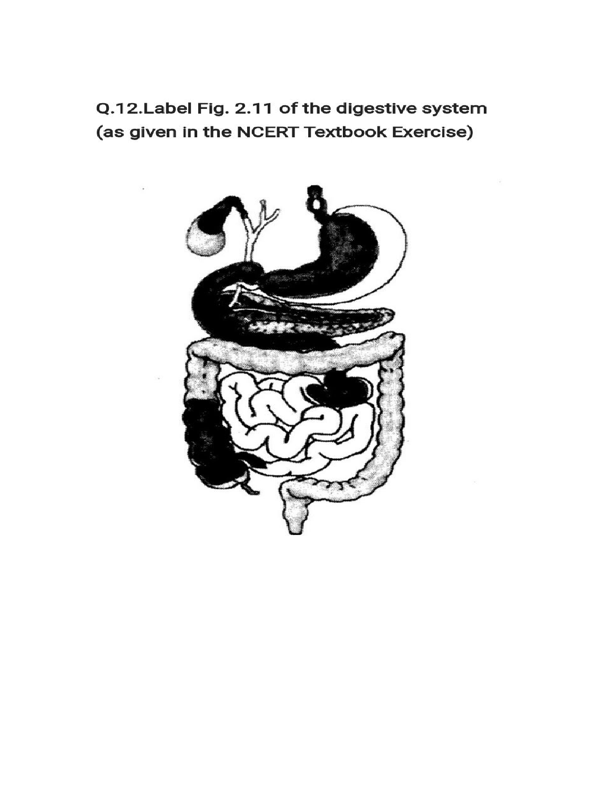Q.12.Label Fig. 2.11 of the digestive system (as given in the NCERT Textbook Exercise)